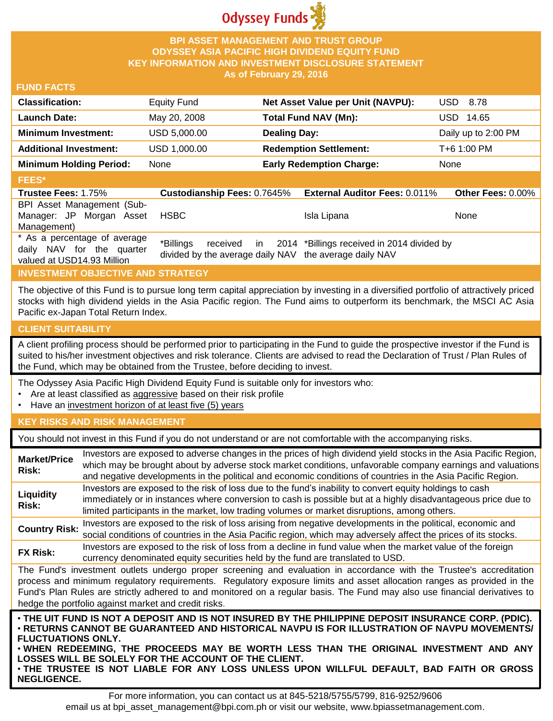

## **BPI ASSET MANAGEMENT AND TRUST GROUP ODYSSEY ASIA PACIFIC HIGH DIVIDEND EQUITY FUND KEY INFORMATION AND INVESTMENT DISCLOSURE STATEMENT As of February 29, 2016**

## **FUND FACTS**

| <b>Equity Fund</b> | Net Asset Value per Unit (NAVPU): | <b>USD 8.78</b>     |
|--------------------|-----------------------------------|---------------------|
| May 20, 2008       | Total Fund NAV (Mn):              | USD.<br>14.65       |
| USD 5,000.00       | <b>Dealing Day:</b>               | Daily up to 2:00 PM |
| USD 1,000.00       | <b>Redemption Settlement:</b>     | T+6 1:00 PM         |
| None               | <b>Early Redemption Charge:</b>   | None                |
|                    |                                   |                     |
|                    |                                   |                     |

#### **Trustee Fees:** 1.75% **Custodianship Fees:** 0.7645% **External Auditor Fees:** 0.011% **Other Fees:** 0.00% BPI Asset Management (Sub-Manager: JP Morgan Asset Management) HSBC Isla Lipana None \* As a percentage of average daily NAV for the quarter valued at USD14.93 Million \*Billings received in divided by the average daily NAV the average daily NAV 2014 \*Billings received in 2014 divided by

# **INVESTMENT OBJECTIVE AND STRATEGY**

The objective of this Fund is to pursue long term capital appreciation by investing in a diversified portfolio of attractively priced stocks with high dividend yields in the Asia Pacific region. The Fund aims to outperform its benchmark, the MSCI AC Asia Pacific ex-Japan Total Return Index.

#### **CLIENT SUITABILITY**

A client profiling process should be performed prior to participating in the Fund to guide the prospective investor if the Fund is suited to his/her investment objectives and risk tolerance. Clients are advised to read the Declaration of Trust / Plan Rules of the Fund, which may be obtained from the Trustee, before deciding to invest.

The Odyssey Asia Pacific High Dividend Equity Fund is suitable only for investors who:

- Are at least classified as aggressive based on their risk profile
- Have an investment horizon of at least five (5) years

### **KEY RISKS AND RISK MANAGEMENT**

You should not invest in this Fund if you do not understand or are not comfortable with the accompanying risks.

| <b>Market/Price</b><br>Risk:                                                                                                                                                                                                                                                                                                                                                                                                         | Investors are exposed to adverse changes in the prices of high dividend yield stocks in the Asia Pacific Region,<br>which may be brought about by adverse stock market conditions, unfavorable company earnings and valuations<br>and negative developments in the political and economic conditions of countries in the Asia Pacific Region. |  |
|--------------------------------------------------------------------------------------------------------------------------------------------------------------------------------------------------------------------------------------------------------------------------------------------------------------------------------------------------------------------------------------------------------------------------------------|-----------------------------------------------------------------------------------------------------------------------------------------------------------------------------------------------------------------------------------------------------------------------------------------------------------------------------------------------|--|
| Liquidity<br>Risk:                                                                                                                                                                                                                                                                                                                                                                                                                   | Investors are exposed to the risk of loss due to the fund's inability to convert equity holdings to cash<br>immediately or in instances where conversion to cash is possible but at a highly disadvantageous price due to<br>limited participants in the market, low trading volumes or market disruptions, among others.                     |  |
| <b>Country Risk:</b>                                                                                                                                                                                                                                                                                                                                                                                                                 | Investors are exposed to the risk of loss arising from negative developments in the political, economic and<br>social conditions of countries in the Asia Pacific region, which may adversely affect the prices of its stocks.                                                                                                                |  |
| <b>FX Risk:</b>                                                                                                                                                                                                                                                                                                                                                                                                                      | Investors are exposed to the risk of loss from a decline in fund value when the market value of the foreign<br>currency denominated equity securities held by the fund are translated to USD.                                                                                                                                                 |  |
| The Fund's investment outlets undergo proper screening and evaluation in accordance with the Trustee's accreditation<br>process and minimum regulatory requirements. Regulatory exposure limits and asset allocation ranges as provided in the<br>Fund's Plan Rules are strictly adhered to and monitored on a regular basis. The Fund may also use financial derivatives to<br>hedge the portfolio against market and credit risks. |                                                                                                                                                                                                                                                                                                                                               |  |
| . THE UIT FUND IS NOT A DEPOSIT AND IS NOT INSURED BY THE PHILIPPINE DEPOSIT INSURANCE CORP. (PDIC).<br><b>• RETURNS CANNOT BE GUARANTEED AND HISTORICAL NAVPU IS FOR ILLUSTRATION OF NAVPU MOVEMENTS/</b><br><b>FLUCTUATIONS ONLY.</b><br>. WHEN REDEEMING, THE PROCEEDS MAY BE WORTH LESS THAN THE ORIGINAL INVESTMENT AND ANY<br>OSSES WILL BE SOLELY FOR THE ACCOUNT OF THE CLIENT                                               |                                                                                                                                                                                                                                                                                                                                               |  |

**LOSSES WILL BE SOLELY FOR THE ACCOUNT OF THE CLIENT.** • **THE TRUSTEE IS NOT LIABLE FOR ANY LOSS UNLESS UPON WILLFUL DEFAULT, BAD FAITH OR GROSS NEGLIGENCE.**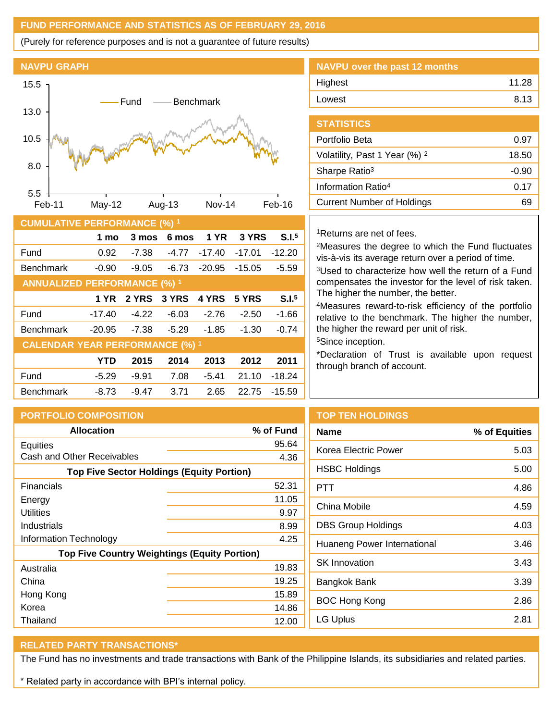## **FUND PERFORMANCE AND STATISTICS AS OF FEBRUARY 29, 2016**

(Purely for reference purposes and is not a guarantee of future results)



| <b>CUMULATIVE PERFORMANCE (%) 1</b>    |            |         |              |             |          |                   |
|----------------------------------------|------------|---------|--------------|-------------|----------|-------------------|
|                                        | 1 mo       | 3 mos   | 6 mos        | <b>1 YR</b> | 3 YRS    | S.I. <sup>5</sup> |
| Fund                                   | 0.92       | -7.38   | $-4.77$      | $-17.40$    | $-17.01$ | $-12.20$          |
| <b>Benchmark</b>                       | $-0.90$    | $-9.05$ | $-6.73$      | $-20.95$    | $-15.05$ | $-5.59$           |
| <b>ANNUALIZED PERFORMANCE (%) 1</b>    |            |         |              |             |          |                   |
|                                        | 1 YR       | 2 YRS   | <b>3 YRS</b> | 4 YRS       | 5 YRS    | S.I. <sup>5</sup> |
| Fund                                   | $-17.40$   | $-4.22$ | $-6.03$      | $-2.76$     | $-2.50$  | $-1.66$           |
| <b>Benchmark</b>                       | $-20.95$   | $-7.38$ | $-5.29$      | $-1.85$     | $-1.30$  | $-0.74$           |
| <b>CALENDAR YEAR PERFORMANCE (%) 1</b> |            |         |              |             |          |                   |
|                                        | <b>YTD</b> | 2015    | 2014         | 2013        | 2012     | 2011              |
| Fund                                   | $-5.29$    | $-9.91$ | 7.08         | $-5.41$     | 21.10    | $-18.24$          |
| <b>Benchmark</b>                       | $-8.73$    | $-9.47$ | 3.71         | 2.65        | 22.75    | $-15.59$          |

| NAVPU over the past 12 months |       |
|-------------------------------|-------|
| Highest                       | 11.28 |
| Lowest                        | 8.13  |
|                               |       |

| <b>STATISTICS</b>                        |         |
|------------------------------------------|---------|
| Portfolio Beta                           | 0.97    |
| Volatility, Past 1 Year (%) <sup>2</sup> | 18.50   |
| Sharpe Ratio <sup>3</sup>                | $-0.90$ |
| Information Ratio <sup>4</sup>           | 0.17    |
| <b>Current Number of Holdings</b>        | 69      |
|                                          |         |

## <sup>1</sup>Returns are net of fees.

<sup>2</sup>Measures the degree to which the Fund fluctuates vis-à-vis its average return over a period of time.

<sup>3</sup>Used to characterize how well the return of a Fund compensates the investor for the level of risk taken. The higher the number, the better.

<sup>4</sup>Measures reward-to-risk efficiency of the portfolio relative to the benchmark. The higher the number, the higher the reward per unit of risk.

<sup>5</sup>Since inception.

\*Declaration of Trust is available upon request through branch of account.

| <b>PORTFOLIO COMPOSITION</b>                        |           | T             |
|-----------------------------------------------------|-----------|---------------|
| <b>Allocation</b>                                   | % of Fund | N             |
| Equities                                            | 95.64     | Kα            |
| Cash and Other Receivables                          | 4.36      |               |
| <b>Top Five Sector Holdings (Equity Portion)</b>    |           | H,            |
| Financials                                          | 52.31     | $P^{\dagger}$ |
| Energy                                              | 11.05     |               |
| Utilities                                           | 9.97      | Cl            |
| Industrials                                         | 8.99      | DI            |
| Information Technology                              | 4.25      | Hι            |
| <b>Top Five Country Weightings (Equity Portion)</b> |           |               |
| Australia                                           | 19.83     | s             |
| China                                               | 19.25     | Bέ            |
| Hong Kong                                           | 15.89     | B)            |
| Korea                                               | 14.86     |               |
| Thailand                                            | 12.00     | L(            |

### **OP TEN HOLDINGS**

| <b>Name</b>                 | % of Equities |
|-----------------------------|---------------|
| Korea Electric Power        | 5.03          |
| <b>HSBC Holdings</b>        | 5.00          |
| PTT                         | 4.86          |
| China Mobile                | 4.59          |
| <b>DBS Group Holdings</b>   | 4.03          |
| Huaneng Power International | 3.46          |
| <b>SK</b> Innovation        | 3.43          |
| Bangkok Bank                | 3.39          |
| <b>BOC Hong Kong</b>        | 2.86          |
| LG Uplus                    | 2.81          |
|                             |               |

## **RELATED PARTY TRANSACTIONS\***

The Fund has no investments and trade transactions with Bank of the Philippine Islands, its subsidiaries and related parties.

\* Related party in accordance with BPI's internal policy.